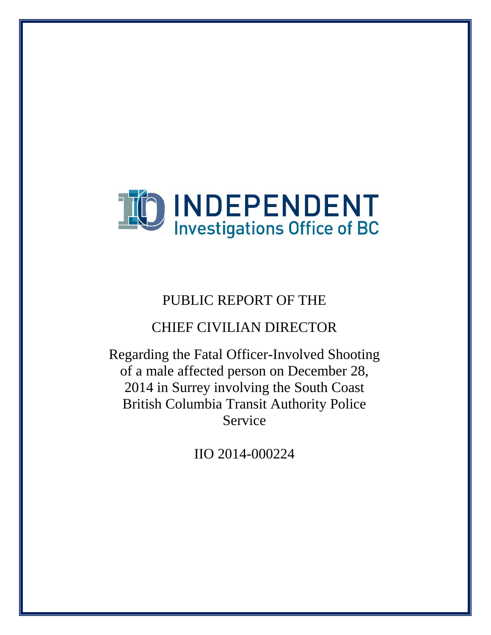

# PUBLIC REPORT OF THE

# CHIEF CIVILIAN DIRECTOR

Regarding the Fatal Officer-Involved Shooting of a male affected person on December 28, 2014 in Surrey involving the South Coast British Columbia Transit Authority Police Service

IIO 2014-000224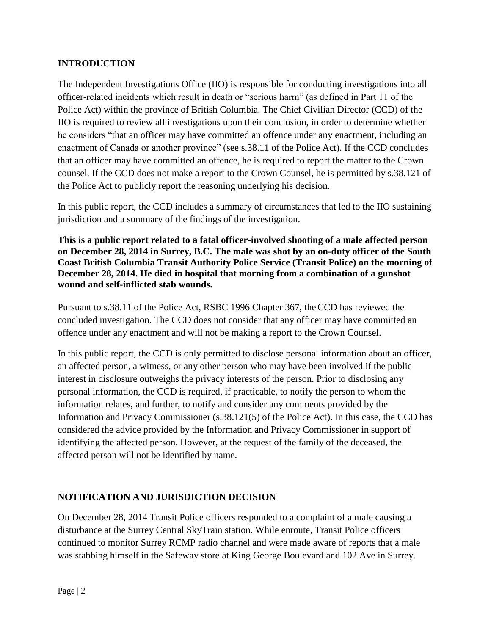# **INTRODUCTION**

The Independent Investigations Office (IIO) is responsible for conducting investigations into all officer-related incidents which result in death or "serious harm" (as defined in Part 11 of the Police Act) within the province of British Columbia. The Chief Civilian Director (CCD) of the IIO is required to review all investigations upon their conclusion, in order to determine whether he considers "that an officer may have committed an offence under any enactment, including an enactment of Canada or another province" (see s.38.11 of the Police Act). If the CCD concludes that an officer may have committed an offence, he is required to report the matter to the Crown counsel. If the CCD does not make a report to the Crown Counsel, he is permitted by s.38.121 of the Police Act to publicly report the reasoning underlying his decision.

In this public report, the CCD includes a summary of circumstances that led to the IIO sustaining jurisdiction and a summary of the findings of the investigation.

**This is a public report related to a fatal officer-involved shooting of a male affected person on December 28, 2014 in Surrey, B.C. The male was shot by an on-duty officer of the South Coast British Columbia Transit Authority Police Service (Transit Police) on the morning of December 28, 2014. He died in hospital that morning from a combination of a gunshot wound and self-inflicted stab wounds.**

Pursuant to s.38.11 of the Police Act, RSBC 1996 Chapter 367, theCCD has reviewed the concluded investigation. The CCD does not consider that any officer may have committed an offence under any enactment and will not be making a report to the Crown Counsel.

In this public report, the CCD is only permitted to disclose personal information about an officer, an affected person, a witness, or any other person who may have been involved if the public interest in disclosure outweighs the privacy interests of the person. Prior to disclosing any personal information, the CCD is required, if practicable, to notify the person to whom the information relates, and further, to notify and consider any comments provided by the Information and Privacy Commissioner (s.38.121(5) of the Police Act). In this case, the CCD has considered the advice provided by the Information and Privacy Commissioner in support of identifying the affected person. However, at the request of the family of the deceased, the affected person will not be identified by name.

# **NOTIFICATION AND JURISDICTION DECISION**

On December 28, 2014 Transit Police officers responded to a complaint of a male causing a disturbance at the Surrey Central SkyTrain station. While enroute, Transit Police officers continued to monitor Surrey RCMP radio channel and were made aware of reports that a male was stabbing himself in the Safeway store at King George Boulevard and 102 Ave in Surrey.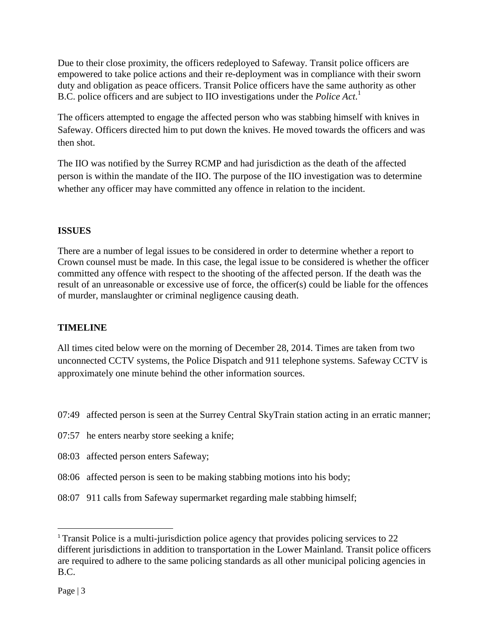Due to their close proximity, the officers redeployed to Safeway. Transit police officers are empowered to take police actions and their re-deployment was in compliance with their sworn duty and obligation as peace officers. Transit Police officers have the same authority as other B.C. police officers and are subject to IIO investigations under the *Police Act*. 1

The officers attempted to engage the affected person who was stabbing himself with knives in Safeway. Officers directed him to put down the knives. He moved towards the officers and was then shot.

The IIO was notified by the Surrey RCMP and had jurisdiction as the death of the affected person is within the mandate of the IIO. The purpose of the IIO investigation was to determine whether any officer may have committed any offence in relation to the incident.

# **ISSUES**

There are a number of legal issues to be considered in order to determine whether a report to Crown counsel must be made. In this case, the legal issue to be considered is whether the officer committed any offence with respect to the shooting of the affected person. If the death was the result of an unreasonable or excessive use of force, the officer(s) could be liable for the offences of murder, manslaughter or criminal negligence causing death.

# **TIMELINE**

All times cited below were on the morning of December 28, 2014. Times are taken from two unconnected CCTV systems, the Police Dispatch and 911 telephone systems. Safeway CCTV is approximately one minute behind the other information sources.

- 07:49 affected person is seen at the Surrey Central SkyTrain station acting in an erratic manner;
- 07:57 he enters nearby store seeking a knife;
- 08:03 affected person enters Safeway;
- 08:06 affected person is seen to be making stabbing motions into his body;
- 08:07 911 calls from Safeway supermarket regarding male stabbing himself;

 $\overline{\phantom{a}}$ 

<sup>&</sup>lt;sup>1</sup> Transit Police is a multi-jurisdiction police agency that provides policing services to 22 different jurisdictions in addition to transportation in the Lower Mainland. Transit police officers are required to adhere to the same policing standards as all other municipal policing agencies in B.C.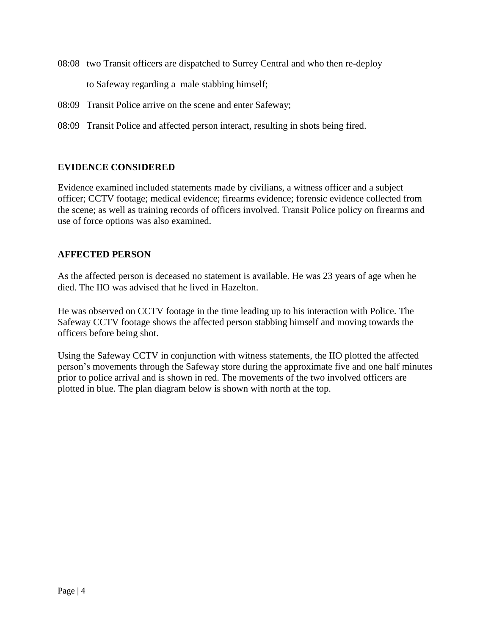08:08 two Transit officers are dispatched to Surrey Central and who then re-deploy

to Safeway regarding a male stabbing himself;

- 08:09 Transit Police arrive on the scene and enter Safeway;
- 08:09 Transit Police and affected person interact, resulting in shots being fired.

#### **EVIDENCE CONSIDERED**

Evidence examined included statements made by civilians, a witness officer and a subject officer; CCTV footage; medical evidence; firearms evidence; forensic evidence collected from the scene; as well as training records of officers involved. Transit Police policy on firearms and use of force options was also examined.

#### **AFFECTED PERSON**

As the affected person is deceased no statement is available. He was 23 years of age when he died. The IIO was advised that he lived in Hazelton.

He was observed on CCTV footage in the time leading up to his interaction with Police. The Safeway CCTV footage shows the affected person stabbing himself and moving towards the officers before being shot.

Using the Safeway CCTV in conjunction with witness statements, the IIO plotted the affected person's movements through the Safeway store during the approximate five and one half minutes prior to police arrival and is shown in red. The movements of the two involved officers are plotted in blue. The plan diagram below is shown with north at the top.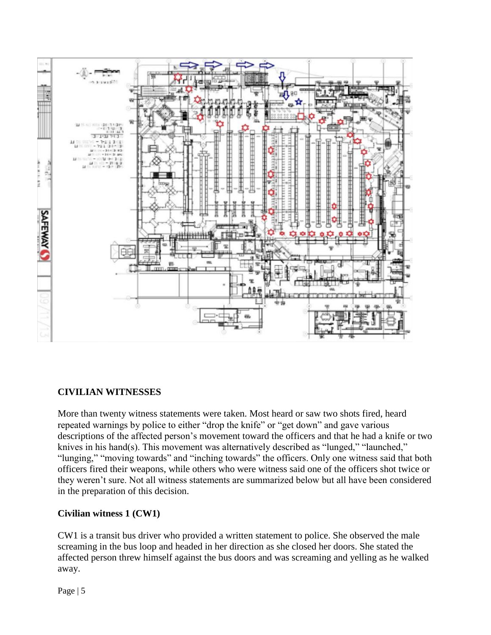

# **CIVILIAN WITNESSES**

More than twenty witness statements were taken. Most heard or saw two shots fired, heard repeated warnings by police to either "drop the knife" or "get down" and gave various descriptions of the affected person's movement toward the officers and that he had a knife or two knives in his hand(s). This movement was alternatively described as "lunged," "launched," "lunging," "moving towards" and "inching towards" the officers. Only one witness said that both officers fired their weapons, while others who were witness said one of the officers shot twice or they weren't sure. Not all witness statements are summarized below but all have been considered in the preparation of this decision.

#### **Civilian witness 1 (CW1)**

CW1 is a transit bus driver who provided a written statement to police. She observed the male screaming in the bus loop and headed in her direction as she closed her doors. She stated the affected person threw himself against the bus doors and was screaming and yelling as he walked away.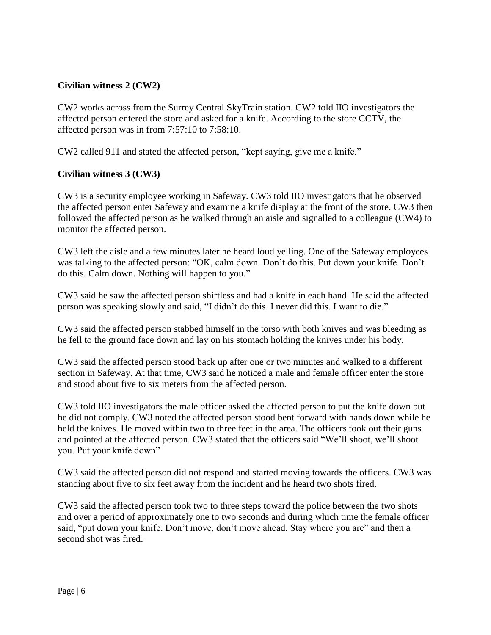# **Civilian witness 2 (CW2)**

CW2 works across from the Surrey Central SkyTrain station. CW2 told IIO investigators the affected person entered the store and asked for a knife. According to the store CCTV, the affected person was in from 7:57:10 to 7:58:10.

CW2 called 911 and stated the affected person, "kept saying, give me a knife."

#### **Civilian witness 3 (CW3)**

CW3 is a security employee working in Safeway. CW3 told IIO investigators that he observed the affected person enter Safeway and examine a knife display at the front of the store. CW3 then followed the affected person as he walked through an aisle and signalled to a colleague (CW4) to monitor the affected person.

CW3 left the aisle and a few minutes later he heard loud yelling. One of the Safeway employees was talking to the affected person: "OK, calm down. Don't do this. Put down your knife. Don't do this. Calm down. Nothing will happen to you."

CW3 said he saw the affected person shirtless and had a knife in each hand. He said the affected person was speaking slowly and said, "I didn't do this. I never did this. I want to die."

CW3 said the affected person stabbed himself in the torso with both knives and was bleeding as he fell to the ground face down and lay on his stomach holding the knives under his body.

CW3 said the affected person stood back up after one or two minutes and walked to a different section in Safeway. At that time, CW3 said he noticed a male and female officer enter the store and stood about five to six meters from the affected person.

CW3 told IIO investigators the male officer asked the affected person to put the knife down but he did not comply. CW3 noted the affected person stood bent forward with hands down while he held the knives. He moved within two to three feet in the area. The officers took out their guns and pointed at the affected person. CW3 stated that the officers said "We'll shoot, we'll shoot you. Put your knife down"

CW3 said the affected person did not respond and started moving towards the officers. CW3 was standing about five to six feet away from the incident and he heard two shots fired.

CW3 said the affected person took two to three steps toward the police between the two shots and over a period of approximately one to two seconds and during which time the female officer said, "put down your knife. Don't move, don't move ahead. Stay where you are" and then a second shot was fired.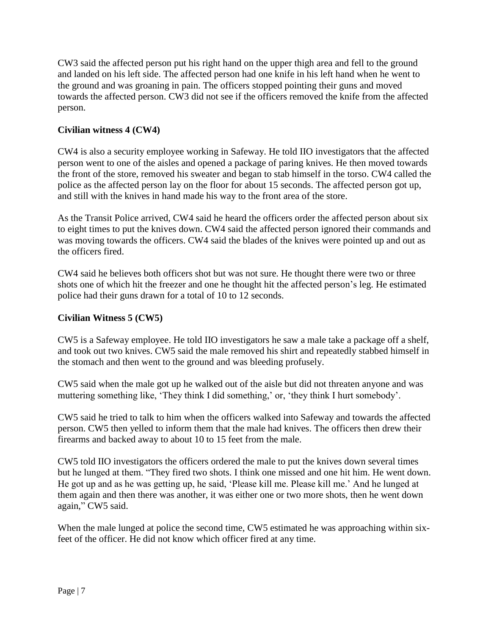CW3 said the affected person put his right hand on the upper thigh area and fell to the ground and landed on his left side. The affected person had one knife in his left hand when he went to the ground and was groaning in pain. The officers stopped pointing their guns and moved towards the affected person. CW3 did not see if the officers removed the knife from the affected person.

# **Civilian witness 4 (CW4)**

CW4 is also a security employee working in Safeway. He told IIO investigators that the affected person went to one of the aisles and opened a package of paring knives. He then moved towards the front of the store, removed his sweater and began to stab himself in the torso. CW4 called the police as the affected person lay on the floor for about 15 seconds. The affected person got up, and still with the knives in hand made his way to the front area of the store.

As the Transit Police arrived, CW4 said he heard the officers order the affected person about six to eight times to put the knives down. CW4 said the affected person ignored their commands and was moving towards the officers. CW4 said the blades of the knives were pointed up and out as the officers fired.

CW4 said he believes both officers shot but was not sure. He thought there were two or three shots one of which hit the freezer and one he thought hit the affected person's leg. He estimated police had their guns drawn for a total of 10 to 12 seconds.

# **Civilian Witness 5 (CW5)**

CW5 is a Safeway employee. He told IIO investigators he saw a male take a package off a shelf, and took out two knives. CW5 said the male removed his shirt and repeatedly stabbed himself in the stomach and then went to the ground and was bleeding profusely.

CW5 said when the male got up he walked out of the aisle but did not threaten anyone and was muttering something like, 'They think I did something,' or, 'they think I hurt somebody'.

CW5 said he tried to talk to him when the officers walked into Safeway and towards the affected person. CW5 then yelled to inform them that the male had knives. The officers then drew their firearms and backed away to about 10 to 15 feet from the male.

CW5 told IIO investigators the officers ordered the male to put the knives down several times but he lunged at them. "They fired two shots. I think one missed and one hit him. He went down. He got up and as he was getting up, he said, 'Please kill me. Please kill me.' And he lunged at them again and then there was another, it was either one or two more shots, then he went down again," CW5 said.

When the male lunged at police the second time, CW5 estimated he was approaching within sixfeet of the officer. He did not know which officer fired at any time.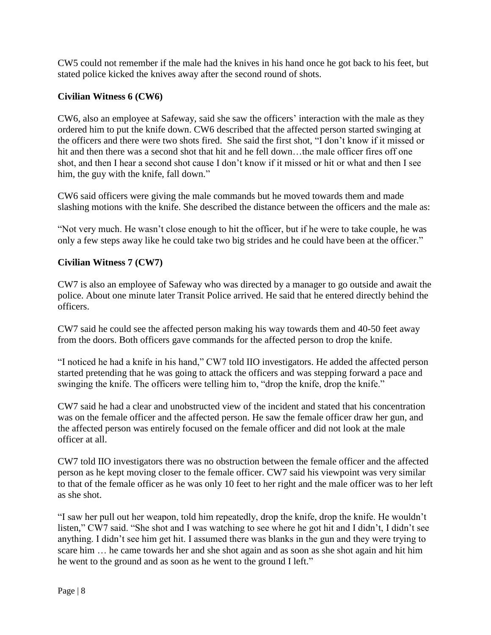CW5 could not remember if the male had the knives in his hand once he got back to his feet, but stated police kicked the knives away after the second round of shots.

### **Civilian Witness 6 (CW6)**

CW6, also an employee at Safeway, said she saw the officers' interaction with the male as they ordered him to put the knife down. CW6 described that the affected person started swinging at the officers and there were two shots fired. She said the first shot, "I don't know if it missed or hit and then there was a second shot that hit and he fell down...the male officer fires off one shot, and then I hear a second shot cause I don't know if it missed or hit or what and then I see him, the guy with the knife, fall down."

CW6 said officers were giving the male commands but he moved towards them and made slashing motions with the knife. She described the distance between the officers and the male as:

"Not very much. He wasn't close enough to hit the officer, but if he were to take couple, he was only a few steps away like he could take two big strides and he could have been at the officer."

# **Civilian Witness 7 (CW7)**

CW7 is also an employee of Safeway who was directed by a manager to go outside and await the police. About one minute later Transit Police arrived. He said that he entered directly behind the officers.

CW7 said he could see the affected person making his way towards them and 40-50 feet away from the doors. Both officers gave commands for the affected person to drop the knife.

"I noticed he had a knife in his hand," CW7 told IIO investigators. He added the affected person started pretending that he was going to attack the officers and was stepping forward a pace and swinging the knife. The officers were telling him to, "drop the knife, drop the knife."

CW7 said he had a clear and unobstructed view of the incident and stated that his concentration was on the female officer and the affected person. He saw the female officer draw her gun, and the affected person was entirely focused on the female officer and did not look at the male officer at all.

CW7 told IIO investigators there was no obstruction between the female officer and the affected person as he kept moving closer to the female officer. CW7 said his viewpoint was very similar to that of the female officer as he was only 10 feet to her right and the male officer was to her left as she shot.

"I saw her pull out her weapon, told him repeatedly, drop the knife, drop the knife. He wouldn't listen," CW7 said. "She shot and I was watching to see where he got hit and I didn't, I didn't see anything. I didn't see him get hit. I assumed there was blanks in the gun and they were trying to scare him … he came towards her and she shot again and as soon as she shot again and hit him he went to the ground and as soon as he went to the ground I left."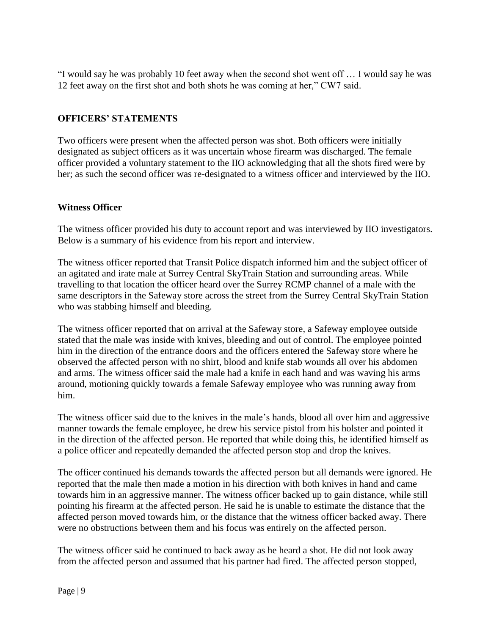"I would say he was probably 10 feet away when the second shot went off … I would say he was 12 feet away on the first shot and both shots he was coming at her," CW7 said.

# **OFFICERS' STATEMENTS**

Two officers were present when the affected person was shot. Both officers were initially designated as subject officers as it was uncertain whose firearm was discharged. The female officer provided a voluntary statement to the IIO acknowledging that all the shots fired were by her; as such the second officer was re-designated to a witness officer and interviewed by the IIO.

#### **Witness Officer**

The witness officer provided his duty to account report and was interviewed by IIO investigators. Below is a summary of his evidence from his report and interview.

The witness officer reported that Transit Police dispatch informed him and the subject officer of an agitated and irate male at Surrey Central SkyTrain Station and surrounding areas. While travelling to that location the officer heard over the Surrey RCMP channel of a male with the same descriptors in the Safeway store across the street from the Surrey Central SkyTrain Station who was stabbing himself and bleeding.

The witness officer reported that on arrival at the Safeway store, a Safeway employee outside stated that the male was inside with knives, bleeding and out of control. The employee pointed him in the direction of the entrance doors and the officers entered the Safeway store where he observed the affected person with no shirt, blood and knife stab wounds all over his abdomen and arms. The witness officer said the male had a knife in each hand and was waving his arms around, motioning quickly towards a female Safeway employee who was running away from him.

The witness officer said due to the knives in the male's hands, blood all over him and aggressive manner towards the female employee, he drew his service pistol from his holster and pointed it in the direction of the affected person. He reported that while doing this, he identified himself as a police officer and repeatedly demanded the affected person stop and drop the knives.

The officer continued his demands towards the affected person but all demands were ignored. He reported that the male then made a motion in his direction with both knives in hand and came towards him in an aggressive manner. The witness officer backed up to gain distance, while still pointing his firearm at the affected person. He said he is unable to estimate the distance that the affected person moved towards him, or the distance that the witness officer backed away. There were no obstructions between them and his focus was entirely on the affected person.

The witness officer said he continued to back away as he heard a shot. He did not look away from the affected person and assumed that his partner had fired. The affected person stopped,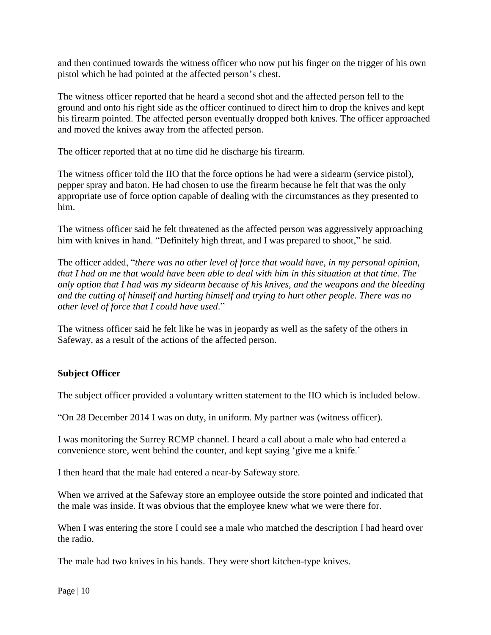and then continued towards the witness officer who now put his finger on the trigger of his own pistol which he had pointed at the affected person's chest.

The witness officer reported that he heard a second shot and the affected person fell to the ground and onto his right side as the officer continued to direct him to drop the knives and kept his firearm pointed. The affected person eventually dropped both knives. The officer approached and moved the knives away from the affected person.

The officer reported that at no time did he discharge his firearm.

The witness officer told the IIO that the force options he had were a sidearm (service pistol), pepper spray and baton. He had chosen to use the firearm because he felt that was the only appropriate use of force option capable of dealing with the circumstances as they presented to him.

The witness officer said he felt threatened as the affected person was aggressively approaching him with knives in hand. "Definitely high threat, and I was prepared to shoot," he said.

The officer added, "*there was no other level of force that would have, in my personal opinion, that I had on me that would have been able to deal with him in this situation at that time. The only option that I had was my sidearm because of his knives, and the weapons and the bleeding and the cutting of himself and hurting himself and trying to hurt other people. There was no other level of force that I could have used*."

The witness officer said he felt like he was in jeopardy as well as the safety of the others in Safeway, as a result of the actions of the affected person.

# **Subject Officer**

The subject officer provided a voluntary written statement to the IIO which is included below.

"On 28 December 2014 I was on duty, in uniform. My partner was (witness officer).

I was monitoring the Surrey RCMP channel. I heard a call about a male who had entered a convenience store, went behind the counter, and kept saying 'give me a knife.'

I then heard that the male had entered a near-by Safeway store.

When we arrived at the Safeway store an employee outside the store pointed and indicated that the male was inside. It was obvious that the employee knew what we were there for.

When I was entering the store I could see a male who matched the description I had heard over the radio.

The male had two knives in his hands. They were short kitchen-type knives.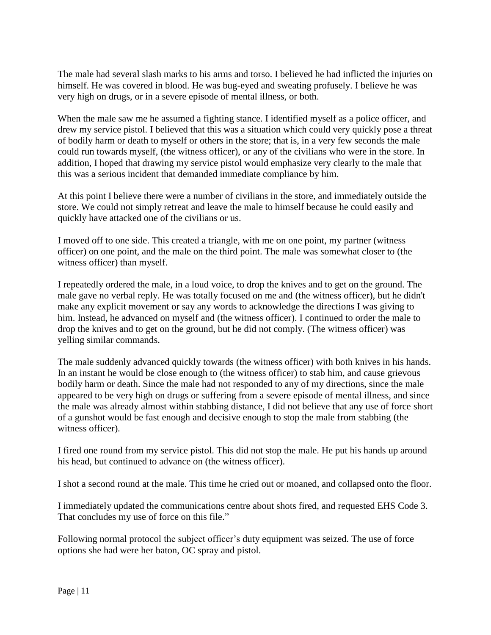The male had several slash marks to his arms and torso. I believed he had inflicted the injuries on himself. He was covered in blood. He was bug-eyed and sweating profusely. I believe he was very high on drugs, or in a severe episode of mental illness, or both.

When the male saw me he assumed a fighting stance. I identified myself as a police officer, and drew my service pistol. I believed that this was a situation which could very quickly pose a threat of bodily harm or death to myself or others in the store; that is, in a very few seconds the male could run towards myself, (the witness officer), or any of the civilians who were in the store. In addition, I hoped that drawing my service pistol would emphasize very clearly to the male that this was a serious incident that demanded immediate compliance by him.

At this point I believe there were a number of civilians in the store, and immediately outside the store. We could not simply retreat and leave the male to himself because he could easily and quickly have attacked one of the civilians or us.

I moved off to one side. This created a triangle, with me on one point, my partner (witness officer) on one point, and the male on the third point. The male was somewhat closer to (the witness officer) than myself.

I repeatedly ordered the male, in a loud voice, to drop the knives and to get on the ground. The male gave no verbal reply. He was totally focused on me and (the witness officer), but he didn't make any explicit movement or say any words to acknowledge the directions I was giving to him. Instead, he advanced on myself and (the witness officer). I continued to order the male to drop the knives and to get on the ground, but he did not comply. (The witness officer) was yelling similar commands.

The male suddenly advanced quickly towards (the witness officer) with both knives in his hands. In an instant he would be close enough to (the witness officer) to stab him, and cause grievous bodily harm or death. Since the male had not responded to any of my directions, since the male appeared to be very high on drugs or suffering from a severe episode of mental illness, and since the male was already almost within stabbing distance, I did not believe that any use of force short of a gunshot would be fast enough and decisive enough to stop the male from stabbing (the witness officer).

I fired one round from my service pistol. This did not stop the male. He put his hands up around his head, but continued to advance on (the witness officer).

I shot a second round at the male. This time he cried out or moaned, and collapsed onto the floor.

I immediately updated the communications centre about shots fired, and requested EHS Code 3. That concludes my use of force on this file."

Following normal protocol the subject officer's duty equipment was seized. The use of force options she had were her baton, OC spray and pistol.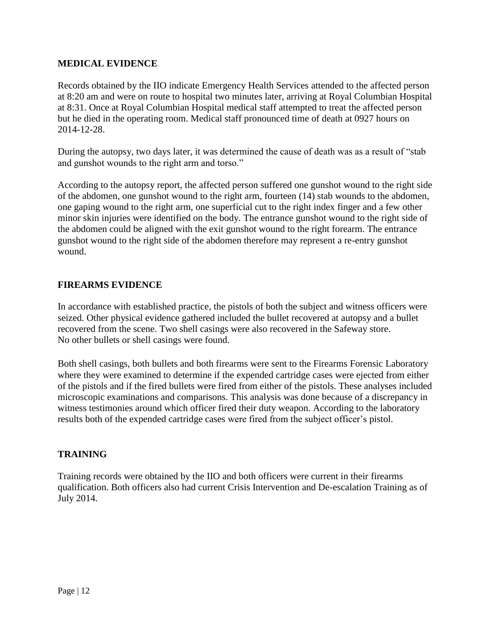### **MEDICAL EVIDENCE**

Records obtained by the IIO indicate Emergency Health Services attended to the affected person at 8:20 am and were on route to hospital two minutes later, arriving at Royal Columbian Hospital at 8:31. Once at Royal Columbian Hospital medical staff attempted to treat the affected person but he died in the operating room. Medical staff pronounced time of death at 0927 hours on 2014-12-28.

During the autopsy, two days later, it was determined the cause of death was as a result of "stab and gunshot wounds to the right arm and torso."

According to the autopsy report, the affected person suffered one gunshot wound to the right side of the abdomen, one gunshot wound to the right arm, fourteen (14) stab wounds to the abdomen, one gaping wound to the right arm, one superficial cut to the right index finger and a few other minor skin injuries were identified on the body. The entrance gunshot wound to the right side of the abdomen could be aligned with the exit gunshot wound to the right forearm. The entrance gunshot wound to the right side of the abdomen therefore may represent a re-entry gunshot wound.

# **FIREARMS EVIDENCE**

In accordance with established practice, the pistols of both the subject and witness officers were seized. Other physical evidence gathered included the bullet recovered at autopsy and a bullet recovered from the scene. Two shell casings were also recovered in the Safeway store. No other bullets or shell casings were found.

Both shell casings, both bullets and both firearms were sent to the Firearms Forensic Laboratory where they were examined to determine if the expended cartridge cases were ejected from either of the pistols and if the fired bullets were fired from either of the pistols. These analyses included microscopic examinations and comparisons. This analysis was done because of a discrepancy in witness testimonies around which officer fired their duty weapon. According to the laboratory results both of the expended cartridge cases were fired from the subject officer's pistol.

#### **TRAINING**

Training records were obtained by the IIO and both officers were current in their firearms qualification. Both officers also had current Crisis Intervention and De-escalation Training as of July 2014.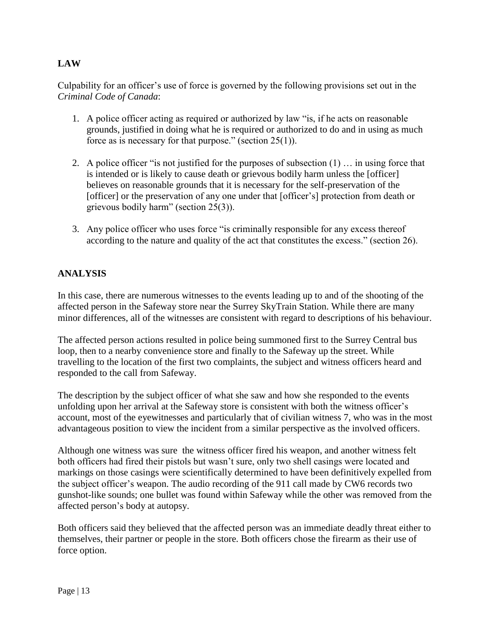# **LAW**

Culpability for an officer's use of force is governed by the following provisions set out in the *Criminal Code of Canada*:

- 1. A police officer acting as required or authorized by law "is, if he acts on reasonable grounds, justified in doing what he is required or authorized to do and in using as much force as is necessary for that purpose." (section 25(1)).
- 2. A police officer "is not justified for the purposes of subsection (1) … in using force that is intended or is likely to cause death or grievous bodily harm unless the [officer] believes on reasonable grounds that it is necessary for the self-preservation of the [officer] or the preservation of any one under that [officer's] protection from death or grievous bodily harm" (section 25(3)).
- 3. Any police officer who uses force "is criminally responsible for any excess thereof according to the nature and quality of the act that constitutes the excess." (section 26).

# **ANALYSIS**

In this case, there are numerous witnesses to the events leading up to and of the shooting of the affected person in the Safeway store near the Surrey SkyTrain Station. While there are many minor differences, all of the witnesses are consistent with regard to descriptions of his behaviour.

The affected person actions resulted in police being summoned first to the Surrey Central bus loop, then to a nearby convenience store and finally to the Safeway up the street. While travelling to the location of the first two complaints, the subject and witness officers heard and responded to the call from Safeway.

The description by the subject officer of what she saw and how she responded to the events unfolding upon her arrival at the Safeway store is consistent with both the witness officer's account, most of the eyewitnesses and particularly that of civilian witness 7, who was in the most advantageous position to view the incident from a similar perspective as the involved officers.

Although one witness was sure the witness officer fired his weapon, and another witness felt both officers had fired their pistols but wasn't sure, only two shell casings were located and markings on those casings were scientifically determined to have been definitively expelled from the subject officer's weapon. The audio recording of the 911 call made by CW6 records two gunshot-like sounds; one bullet was found within Safeway while the other was removed from the affected person's body at autopsy.

Both officers said they believed that the affected person was an immediate deadly threat either to themselves, their partner or people in the store. Both officers chose the firearm as their use of force option.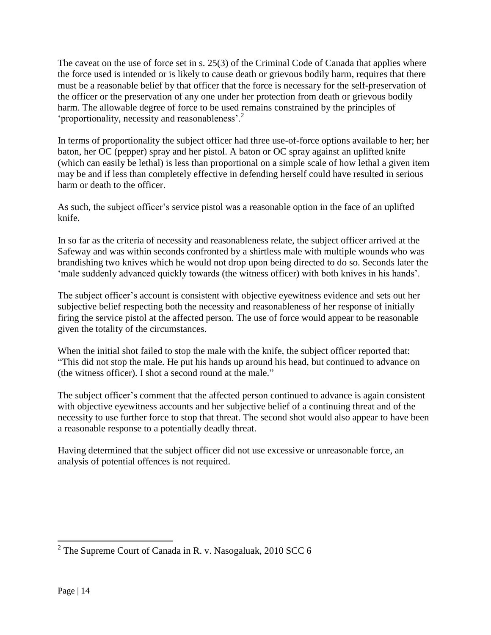The caveat on the use of force set in s. 25(3) of the Criminal Code of Canada that applies where the force used is intended or is likely to cause death or grievous bodily harm, requires that there must be a reasonable belief by that officer that the force is necessary for the self-preservation of the officer or the preservation of any one under her protection from death or grievous bodily harm. The allowable degree of force to be used remains constrained by the principles of 'proportionality, necessity and reasonableness'.<sup>2</sup>

In terms of proportionality the subject officer had three use-of-force options available to her; her baton, her OC (pepper) spray and her pistol. A baton or OC spray against an uplifted knife (which can easily be lethal) is less than proportional on a simple scale of how lethal a given item may be and if less than completely effective in defending herself could have resulted in serious harm or death to the officer.

As such, the subject officer's service pistol was a reasonable option in the face of an uplifted knife.

In so far as the criteria of necessity and reasonableness relate, the subject officer arrived at the Safeway and was within seconds confronted by a shirtless male with multiple wounds who was brandishing two knives which he would not drop upon being directed to do so. Seconds later the 'male suddenly advanced quickly towards (the witness officer) with both knives in his hands'.

The subject officer's account is consistent with objective eyewitness evidence and sets out her subjective belief respecting both the necessity and reasonableness of her response of initially firing the service pistol at the affected person. The use of force would appear to be reasonable given the totality of the circumstances.

When the initial shot failed to stop the male with the knife, the subject officer reported that: "This did not stop the male. He put his hands up around his head, but continued to advance on (the witness officer). I shot a second round at the male."

The subject officer's comment that the affected person continued to advance is again consistent with objective eyewitness accounts and her subjective belief of a continuing threat and of the necessity to use further force to stop that threat. The second shot would also appear to have been a reasonable response to a potentially deadly threat.

Having determined that the subject officer did not use excessive or unreasonable force, an analysis of potential offences is not required.

<sup>&</sup>lt;sup>2</sup> The Supreme Court of Canada in R. v. Nasogaluak, 2010 SCC 6